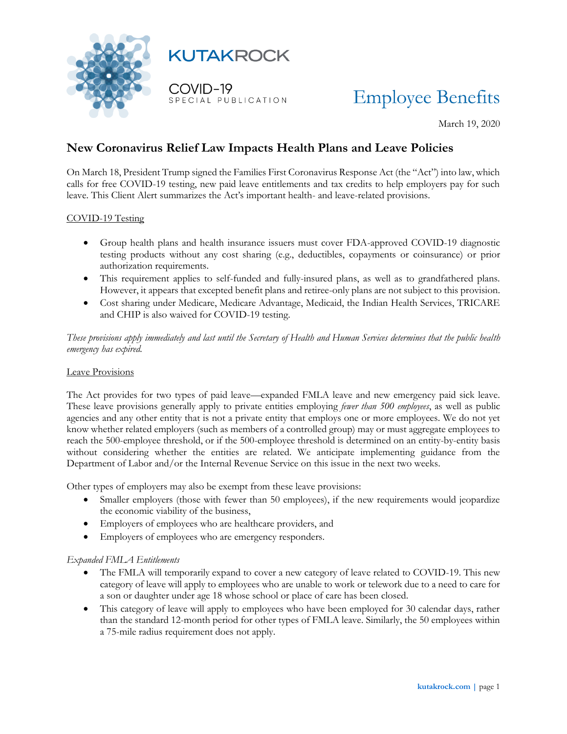

# **Employee Benefits**

March 19, 2020

# **New Coronavirus Relief Law Impacts Health Plans and Leave Policies**

On March 18, President Trump signed the Families First Coronavirus Response Act (the "Act") into law, which calls for free COVID-19 testing, new paid leave entitlements and tax credits to help employers pay for such leave. This Client Alert summarizes the Act's important health- and leave-related provisions.

#### COVID-19 Testing

- Group health plans and health insurance issuers must cover FDA-approved COVID-19 diagnostic testing products without any cost sharing (e.g., deductibles, copayments or coinsurance) or prior authorization requirements.
- This requirement applies to self-funded and fully-insured plans, as well as to grandfathered plans. However, it appears that excepted benefit plans and retiree-only plans are not subject to this provision.
- Cost sharing under Medicare, Medicare Advantage, Medicaid, the Indian Health Services, TRICARE and CHIP is also waived for COVID-19 testing.

*These provisions apply immediately and last until the Secretary of Health and Human Services determines that the public health emergency has expired.* 

#### Leave Provisions

The Act provides for two types of paid leave—expanded FMLA leave and new emergency paid sick leave. These leave provisions generally apply to private entities employing *fewer than 500 employees*, as well as public agencies and any other entity that is not a private entity that employs one or more employees. We do not yet know whether related employers (such as members of a controlled group) may or must aggregate employees to reach the 500-employee threshold, or if the 500-employee threshold is determined on an entity-by-entity basis without considering whether the entities are related. We anticipate implementing guidance from the Department of Labor and/or the Internal Revenue Service on this issue in the next two weeks.

Other types of employers may also be exempt from these leave provisions:

- Smaller employers (those with fewer than 50 employees), if the new requirements would jeopardize the economic viability of the business,
- Employers of employees who are healthcare providers, and
- Employers of employees who are emergency responders.

#### *Expanded FMLA Entitlements*

- The FMLA will temporarily expand to cover a new category of leave related to COVID-19. This new category of leave will apply to employees who are unable to work or telework due to a need to care for a son or daughter under age 18 whose school or place of care has been closed.
- This category of leave will apply to employees who have been employed for 30 calendar days, rather than the standard 12-month period for other types of FMLA leave. Similarly, the 50 employees within a 75-mile radius requirement does not apply.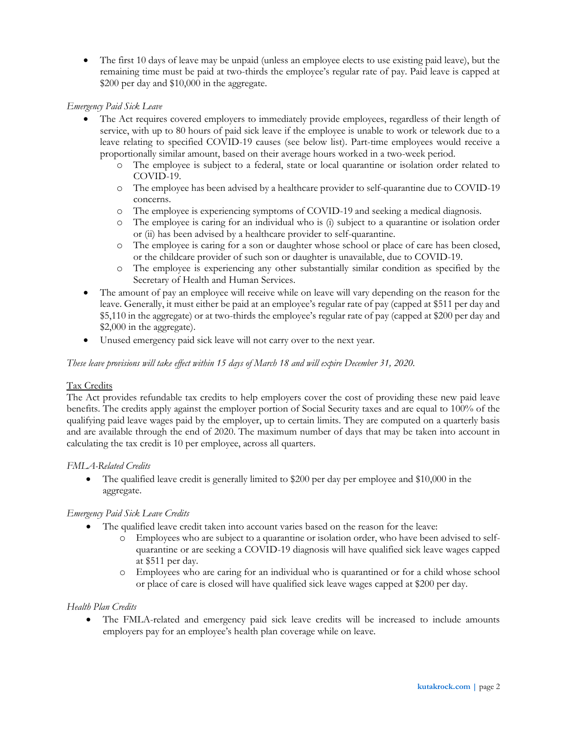• The first 10 days of leave may be unpaid (unless an employee elects to use existing paid leave), but the remaining time must be paid at two-thirds the employee's regular rate of pay. Paid leave is capped at \$200 per day and \$10,000 in the aggregate.

# *Emergency Paid Sick Leave*

- The Act requires covered employers to immediately provide employees, regardless of their length of service, with up to 80 hours of paid sick leave if the employee is unable to work or telework due to a leave relating to specified COVID-19 causes (see below list). Part-time employees would receive a proportionally similar amount, based on their average hours worked in a two-week period.
	- o The employee is subject to a federal, state or local quarantine or isolation order related to COVID-19.
	- o The employee has been advised by a healthcare provider to self-quarantine due to COVID-19 concerns.
	- o The employee is experiencing symptoms of COVID-19 and seeking a medical diagnosis.
	- o The employee is caring for an individual who is (i) subject to a quarantine or isolation order or (ii) has been advised by a healthcare provider to self-quarantine.
	- o The employee is caring for a son or daughter whose school or place of care has been closed, or the childcare provider of such son or daughter is unavailable, due to COVID-19.
	- o The employee is experiencing any other substantially similar condition as specified by the Secretary of Health and Human Services.
- The amount of pay an employee will receive while on leave will vary depending on the reason for the leave. Generally, it must either be paid at an employee's regular rate of pay (capped at \$511 per day and \$5,110 in the aggregate) or at two-thirds the employee's regular rate of pay (capped at \$200 per day and \$2,000 in the aggregate).
- Unused emergency paid sick leave will not carry over to the next year.

# *These leave provisions will take effect within 15 days of March 18 and will expire December 31, 2020.*

# Tax Credits

The Act provides refundable tax credits to help employers cover the cost of providing these new paid leave benefits. The credits apply against the employer portion of Social Security taxes and are equal to 100% of the qualifying paid leave wages paid by the employer, up to certain limits. They are computed on a quarterly basis and are available through the end of 2020. The maximum number of days that may be taken into account in calculating the tax credit is 10 per employee, across all quarters.

# *FMLA-Related Credits*

• The qualified leave credit is generally limited to \$200 per day per employee and \$10,000 in the aggregate.

# *Emergency Paid Sick Leave Credits*

- The qualified leave credit taken into account varies based on the reason for the leave:
	- o Employees who are subject to a quarantine or isolation order, who have been advised to selfquarantine or are seeking a COVID-19 diagnosis will have qualified sick leave wages capped at \$511 per day.
	- o Employees who are caring for an individual who is quarantined or for a child whose school or place of care is closed will have qualified sick leave wages capped at \$200 per day.

#### *Health Plan Credits*

• The FMLA-related and emergency paid sick leave credits will be increased to include amounts employers pay for an employee's health plan coverage while on leave.